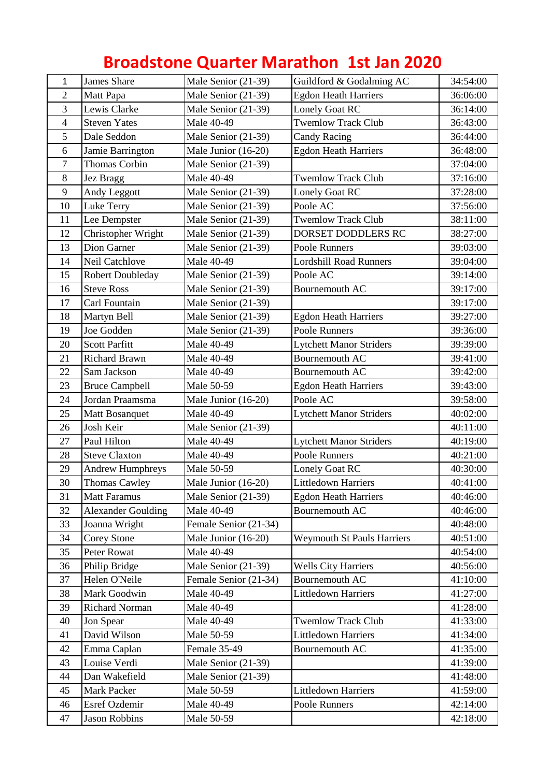## **Broadstone Quarter Marathon 1st Jan 2020**

| 1              | <b>James Share</b>        | Male Senior (21-39)   | Guildford & Godalming AC          | 34:54:00 |
|----------------|---------------------------|-----------------------|-----------------------------------|----------|
| $\overline{2}$ | Matt Papa                 | Male Senior (21-39)   | <b>Egdon Heath Harriers</b>       | 36:06:00 |
| 3              | Lewis Clarke              | Male Senior (21-39)   | <b>Lonely Goat RC</b>             | 36:14:00 |
| $\overline{4}$ | <b>Steven Yates</b>       | Male 40-49            | <b>Twemlow Track Club</b>         | 36:43:00 |
| 5              | Dale Seddon               | Male Senior (21-39)   | <b>Candy Racing</b>               | 36:44:00 |
| 6              | Jamie Barrington          | Male Junior (16-20)   | <b>Egdon Heath Harriers</b>       | 36:48:00 |
| $\overline{7}$ | <b>Thomas Corbin</b>      | Male Senior (21-39)   |                                   | 37:04:00 |
| 8              | Jez Bragg                 | Male 40-49            | <b>Twemlow Track Club</b>         | 37:16:00 |
| 9              | Andy Leggott              | Male Senior (21-39)   | <b>Lonely Goat RC</b>             | 37:28:00 |
| 10             | Luke Terry                | Male Senior (21-39)   | Poole AC                          | 37:56:00 |
| 11             | Lee Dempster              | Male Senior (21-39)   | <b>Twemlow Track Club</b>         | 38:11:00 |
| 12             | Christopher Wright        | Male Senior (21-39)   | DORSET DODDLERS RC                | 38:27:00 |
| 13             | Dion Garner               | Male Senior (21-39)   | Poole Runners                     | 39:03:00 |
| 14             | Neil Catchlove            | Male 40-49            | <b>Lordshill Road Runners</b>     | 39:04:00 |
| 15             | <b>Robert Doubleday</b>   | Male Senior (21-39)   | Poole AC                          | 39:14:00 |
| 16             | <b>Steve Ross</b>         | Male Senior (21-39)   | <b>Bournemouth AC</b>             | 39:17:00 |
| 17             | Carl Fountain             | Male Senior (21-39)   |                                   | 39:17:00 |
| 18             | Martyn Bell               | Male Senior (21-39)   | <b>Egdon Heath Harriers</b>       | 39:27:00 |
| 19             | Joe Godden                | Male Senior (21-39)   | Poole Runners                     | 39:36:00 |
| 20             | <b>Scott Parfitt</b>      | Male 40-49            | <b>Lytchett Manor Striders</b>    | 39:39:00 |
| 21             | Richard Brawn             | Male 40-49            | <b>Bournemouth AC</b>             | 39:41:00 |
| 22             | Sam Jackson               | Male 40-49            | Bournemouth AC                    | 39:42:00 |
| 23             | <b>Bruce Campbell</b>     | Male 50-59            | <b>Egdon Heath Harriers</b>       | 39:43:00 |
| 24             | Jordan Praamsma           | Male Junior (16-20)   | Poole AC                          | 39:58:00 |
| 25             | Matt Bosanquet            | Male 40-49            | <b>Lytchett Manor Striders</b>    | 40:02:00 |
| 26             | Josh Keir                 | Male Senior (21-39)   |                                   | 40:11:00 |
| 27             | Paul Hilton               | Male 40-49            | <b>Lytchett Manor Striders</b>    | 40:19:00 |
| 28             | <b>Steve Claxton</b>      | Male 40-49            | Poole Runners                     | 40:21:00 |
| 29             | <b>Andrew Humphreys</b>   | Male 50-59            | <b>Lonely Goat RC</b>             | 40:30:00 |
| 30             | <b>Thomas Cawley</b>      | Male Junior (16-20)   | <b>Littledown Harriers</b>        | 40:41:00 |
| 31             | Matt Faramus              | Male Senior (21-39)   | <b>Egdon Heath Harriers</b>       | 40:46:00 |
| 32             | <b>Alexander Goulding</b> | Male 40-49            | Bournemouth AC                    | 40:46:00 |
| 33             | Joanna Wright             | Female Senior (21-34) |                                   | 40:48:00 |
| 34             | Corey Stone               | Male Junior (16-20)   | <b>Weymouth St Pauls Harriers</b> | 40:51:00 |
| 35             | Peter Rowat               | Male 40-49            |                                   | 40:54:00 |
| 36             | Philip Bridge             | Male Senior (21-39)   | <b>Wells City Harriers</b>        | 40:56:00 |
| 37             | Helen O'Neile             | Female Senior (21-34) | Bournemouth AC                    | 41:10:00 |
| 38             | Mark Goodwin              | Male 40-49            | <b>Littledown Harriers</b>        | 41:27:00 |
| 39             | <b>Richard Norman</b>     | Male 40-49            |                                   | 41:28:00 |
| 40             | Jon Spear                 | Male 40-49            | <b>Twemlow Track Club</b>         | 41:33:00 |
| 41             | David Wilson              | Male 50-59            | Littledown Harriers               | 41:34:00 |
| 42             | Emma Caplan               | Female 35-49          | Bournemouth AC                    | 41:35:00 |
| 43             | Louise Verdi              | Male Senior (21-39)   |                                   | 41:39:00 |
| 44             | Dan Wakefield             | Male Senior (21-39)   |                                   | 41:48:00 |
| 45             | Mark Packer               | Male 50-59            | <b>Littledown Harriers</b>        | 41:59:00 |
| 46             | <b>Esref Ozdemir</b>      | Male 40-49            | Poole Runners                     | 42:14:00 |
| 47             | <b>Jason Robbins</b>      | Male 50-59            |                                   | 42:18:00 |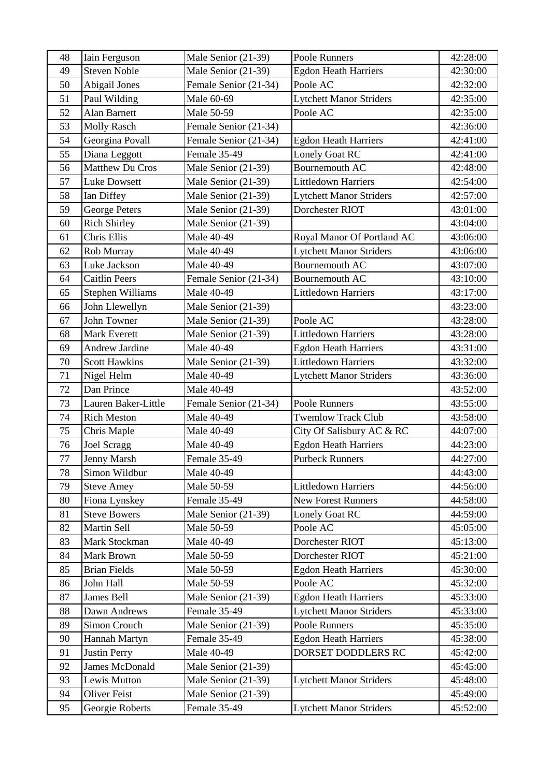| 48 | Iain Ferguson           | Male Senior (21-39)   | Poole Runners                  | 42:28:00 |
|----|-------------------------|-----------------------|--------------------------------|----------|
| 49 | <b>Steven Noble</b>     | Male Senior (21-39)   | <b>Egdon Heath Harriers</b>    | 42:30:00 |
| 50 | Abigail Jones           | Female Senior (21-34) | Poole AC                       | 42:32:00 |
| 51 | Paul Wilding            | Male 60-69            | <b>Lytchett Manor Striders</b> | 42:35:00 |
| 52 | Alan Barnett            | Male 50-59            | Poole AC                       | 42:35:00 |
| 53 | <b>Molly Rasch</b>      | Female Senior (21-34) |                                | 42:36:00 |
| 54 | Georgina Povall         | Female Senior (21-34) | <b>Egdon Heath Harriers</b>    | 42:41:00 |
| 55 | Diana Leggott           | Female 35-49          | <b>Lonely Goat RC</b>          | 42:41:00 |
| 56 | Matthew Du Cros         | Male Senior (21-39)   | <b>Bournemouth AC</b>          | 42:48:00 |
| 57 | <b>Luke Dowsett</b>     | Male Senior (21-39)   | <b>Littledown Harriers</b>     | 42:54:00 |
| 58 | Ian Diffey              | Male Senior (21-39)   | <b>Lytchett Manor Striders</b> | 42:57:00 |
| 59 | George Peters           | Male Senior (21-39)   | Dorchester RIOT                | 43:01:00 |
| 60 | <b>Rich Shirley</b>     | Male Senior (21-39)   |                                | 43:04:00 |
| 61 | Chris Ellis             | Male 40-49            | Royal Manor Of Portland AC     | 43:06:00 |
| 62 | Rob Murray              | Male 40-49            | <b>Lytchett Manor Striders</b> | 43:06:00 |
| 63 | Luke Jackson            | Male 40-49            | <b>Bournemouth AC</b>          | 43:07:00 |
| 64 | <b>Caitlin Peers</b>    | Female Senior (21-34) | Bournemouth AC                 | 43:10:00 |
| 65 | <b>Stephen Williams</b> | Male 40-49            | <b>Littledown Harriers</b>     | 43:17:00 |
| 66 | John Llewellyn          | Male Senior (21-39)   |                                | 43:23:00 |
| 67 | John Towner             | Male Senior (21-39)   | Poole AC                       | 43:28:00 |
| 68 | Mark Everett            | Male Senior (21-39)   | <b>Littledown Harriers</b>     | 43:28:00 |
| 69 | Andrew Jardine          | Male 40-49            | <b>Egdon Heath Harriers</b>    | 43:31:00 |
| 70 | <b>Scott Hawkins</b>    | Male Senior (21-39)   | <b>Littledown Harriers</b>     | 43:32:00 |
| 71 | Nigel Helm              | Male 40-49            | <b>Lytchett Manor Striders</b> | 43:36:00 |
| 72 | Dan Prince              | Male 40-49            |                                | 43:52:00 |
| 73 | Lauren Baker-Little     | Female Senior (21-34) | Poole Runners                  | 43:55:00 |
| 74 | <b>Rich Meston</b>      | Male 40-49            | <b>Twemlow Track Club</b>      | 43:58:00 |
| 75 | Chris Maple             | Male 40-49            | City Of Salisbury AC & RC      | 44:07:00 |
| 76 | Joel Scragg             | Male 40-49            | <b>Egdon Heath Harriers</b>    | 44:23:00 |
| 77 | Jenny Marsh             | Female 35-49          | <b>Purbeck Runners</b>         | 44:27:00 |
| 78 | Simon Wildbur           | Male 40-49            |                                | 44:43:00 |
| 79 | <b>Steve Amey</b>       | Male 50-59            | <b>Littledown Harriers</b>     | 44:56:00 |
| 80 | Fiona Lynskey           | Female 35-49          | <b>New Forest Runners</b>      | 44:58:00 |
| 81 | <b>Steve Bowers</b>     | Male Senior (21-39)   | Lonely Goat RC                 | 44:59:00 |
| 82 | Martin Sell             | Male 50-59            | Poole AC                       | 45:05:00 |
| 83 | Mark Stockman           | Male 40-49            | Dorchester RIOT                | 45:13:00 |
| 84 | <b>Mark Brown</b>       | Male 50-59            | Dorchester RIOT                | 45:21:00 |
| 85 | <b>Brian Fields</b>     | Male 50-59            | <b>Egdon Heath Harriers</b>    | 45:30:00 |
| 86 | John Hall               | Male 50-59            | Poole AC                       | 45:32:00 |
| 87 | James Bell              | Male Senior (21-39)   | <b>Egdon Heath Harriers</b>    | 45:33:00 |
| 88 | Dawn Andrews            | Female 35-49          | <b>Lytchett Manor Striders</b> | 45:33:00 |
| 89 | Simon Crouch            | Male Senior (21-39)   | Poole Runners                  | 45:35:00 |
| 90 | Hannah Martyn           | Female 35-49          | <b>Egdon Heath Harriers</b>    | 45:38:00 |
| 91 | <b>Justin Perry</b>     | Male 40-49            | DORSET DODDLERS RC             | 45:42:00 |
| 92 | James McDonald          | Male Senior (21-39)   |                                | 45:45:00 |
| 93 | Lewis Mutton            | Male Senior (21-39)   | <b>Lytchett Manor Striders</b> | 45:48:00 |
| 94 | <b>Oliver Feist</b>     | Male Senior (21-39)   |                                | 45:49:00 |
| 95 | Georgie Roberts         | Female 35-49          | <b>Lytchett Manor Striders</b> | 45:52:00 |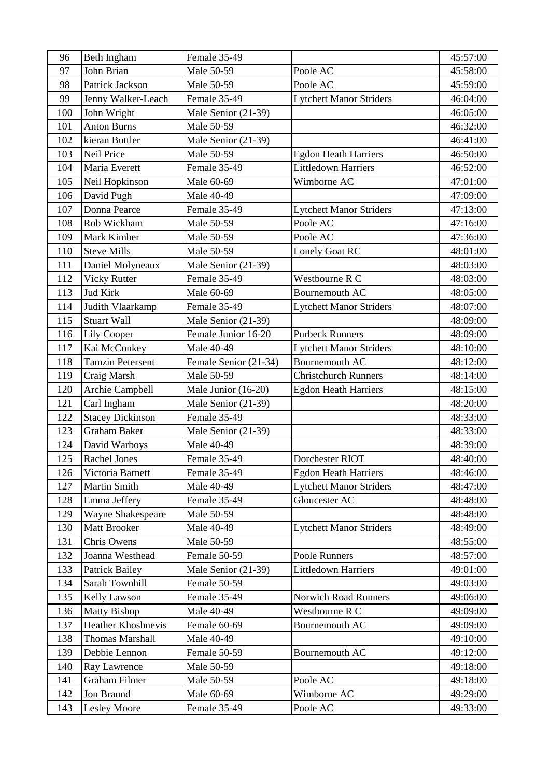| 96  | Beth Ingham               | Female 35-49          |                                | 45:57:00 |
|-----|---------------------------|-----------------------|--------------------------------|----------|
| 97  | John Brian                | Male 50-59            | Poole AC                       | 45:58:00 |
| 98  | Patrick Jackson           | Male 50-59            | Poole AC                       | 45:59:00 |
| 99  | Jenny Walker-Leach        | Female 35-49          | <b>Lytchett Manor Striders</b> | 46:04:00 |
| 100 | John Wright               | Male Senior (21-39)   |                                | 46:05:00 |
| 101 | <b>Anton Burns</b>        | Male 50-59            |                                | 46:32:00 |
| 102 | kieran Buttler            | Male Senior (21-39)   |                                | 46:41:00 |
| 103 | Neil Price                | Male 50-59            | <b>Egdon Heath Harriers</b>    | 46:50:00 |
| 104 | Maria Everett             | Female 35-49          | <b>Littledown Harriers</b>     | 46:52:00 |
| 105 | Neil Hopkinson            | Male 60-69            | Wimborne AC                    | 47:01:00 |
| 106 | David Pugh                | Male 40-49            |                                | 47:09:00 |
| 107 | Donna Pearce              | Female 35-49          | <b>Lytchett Manor Striders</b> | 47:13:00 |
| 108 | Rob Wickham               | Male 50-59            | Poole AC                       | 47:16:00 |
| 109 | Mark Kimber               | Male 50-59            | Poole AC                       | 47:36:00 |
| 110 | <b>Steve Mills</b>        | Male 50-59            | Lonely Goat RC                 | 48:01:00 |
| 111 | Daniel Molyneaux          | Male Senior (21-39)   |                                | 48:03:00 |
| 112 | <b>Vicky Rutter</b>       | Female 35-49          | Westbourne R C                 | 48:03:00 |
| 113 | Jud Kirk                  | Male 60-69            | Bournemouth AC                 | 48:05:00 |
| 114 | Judith Vlaarkamp          | Female 35-49          | <b>Lytchett Manor Striders</b> | 48:07:00 |
| 115 | <b>Stuart Wall</b>        | Male Senior (21-39)   |                                | 48:09:00 |
| 116 | Lily Cooper               | Female Junior 16-20   | <b>Purbeck Runners</b>         | 48:09:00 |
| 117 | Kai McConkey              | Male 40-49            | <b>Lytchett Manor Striders</b> | 48:10:00 |
| 118 | <b>Tamzin Petersent</b>   | Female Senior (21-34) | Bournemouth AC                 | 48:12:00 |
| 119 | Craig Marsh               | Male 50-59            | <b>Christchurch Runners</b>    | 48:14:00 |
| 120 | Archie Campbell           | Male Junior (16-20)   | <b>Egdon Heath Harriers</b>    | 48:15:00 |
| 121 | Carl Ingham               | Male Senior (21-39)   |                                | 48:20:00 |
| 122 | <b>Stacey Dickinson</b>   | Female 35-49          |                                | 48:33:00 |
| 123 | <b>Graham Baker</b>       | Male Senior (21-39)   |                                | 48:33:00 |
| 124 | David Warboys             | Male 40-49            |                                | 48:39:00 |
| 125 | <b>Rachel Jones</b>       | Female 35-49          | Dorchester RIOT                | 48:40:00 |
| 126 | Victoria Barnett          | Female 35-49          | <b>Egdon Heath Harriers</b>    | 48:46:00 |
| 127 | Martin Smith              | Male 40-49            | <b>Lytchett Manor Striders</b> | 48:47:00 |
| 128 | Emma Jeffery              | Female 35-49          | Gloucester AC                  | 48:48:00 |
| 129 | Wayne Shakespeare         | Male 50-59            |                                | 48:48:00 |
| 130 | Matt Brooker              | Male 40-49            | <b>Lytchett Manor Striders</b> | 48:49:00 |
| 131 | Chris Owens               | Male 50-59            |                                | 48:55:00 |
| 132 | Joanna Westhead           | Female 50-59          | Poole Runners                  | 48:57:00 |
| 133 | <b>Patrick Bailey</b>     | Male Senior (21-39)   | <b>Littledown Harriers</b>     | 49:01:00 |
| 134 | Sarah Townhill            | Female 50-59          |                                | 49:03:00 |
| 135 | Kelly Lawson              | Female 35-49          | <b>Norwich Road Runners</b>    | 49:06:00 |
| 136 | <b>Matty Bishop</b>       | Male 40-49            | Westbourne R C                 | 49:09:00 |
| 137 | <b>Heather Khoshnevis</b> | Female 60-69          | Bournemouth AC                 | 49:09:00 |
| 138 | <b>Thomas Marshall</b>    | Male 40-49            |                                | 49:10:00 |
| 139 | Debbie Lennon             | Female 50-59          | Bournemouth AC                 | 49:12:00 |
| 140 | Ray Lawrence              | Male 50-59            |                                | 49:18:00 |
| 141 | <b>Graham Filmer</b>      | Male 50-59            | Poole AC                       | 49:18:00 |
| 142 | Jon Braund                | Male 60-69            | Wimborne AC                    | 49:29:00 |
| 143 | <b>Lesley Moore</b>       | Female 35-49          | Poole AC                       | 49:33:00 |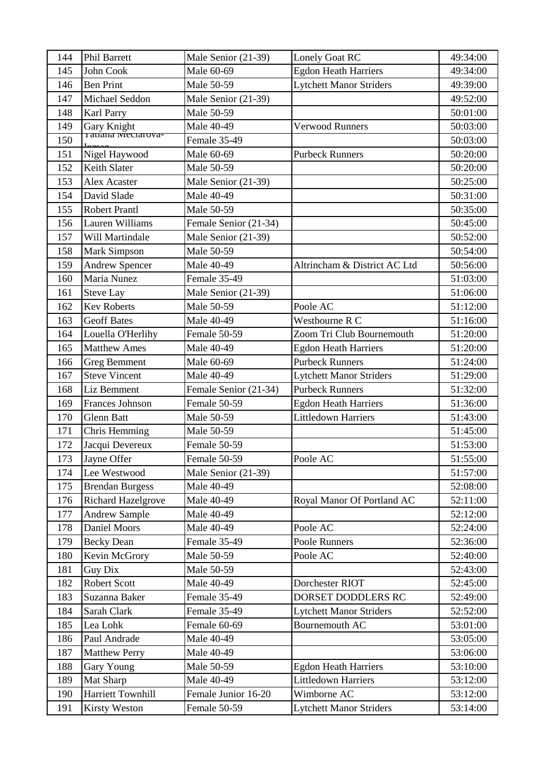| 144 | <b>Phil Barrett</b>               | Male Senior (21-39)   | Lonely Goat RC                 | 49:34:00 |
|-----|-----------------------------------|-----------------------|--------------------------------|----------|
| 145 | John Cook                         | Male 60-69            | <b>Egdon Heath Harriers</b>    | 49:34:00 |
| 146 | <b>Ben Print</b>                  | Male 50-59            | <b>Lytchett Manor Striders</b> | 49:39:00 |
| 147 | Michael Seddon                    | Male Senior (21-39)   |                                | 49:52:00 |
| 148 | Karl Parry                        | Male 50-59            |                                | 50:01:00 |
| 149 | Gary Knight<br>Tattana Mecrarova- | Male 40-49            | <b>Verwood Runners</b>         | 50:03:00 |
| 150 |                                   | Female 35-49          |                                | 50:03:00 |
| 151 | Nigel Haywood                     | Male 60-69            | <b>Purbeck Runners</b>         | 50:20:00 |
| 152 | Keith Slater                      | Male 50-59            |                                | 50:20:00 |
| 153 | Alex Acaster                      | Male Senior (21-39)   |                                | 50:25:00 |
| 154 | David Slade                       | Male 40-49            |                                | 50:31:00 |
| 155 | <b>Robert Prantl</b>              | Male 50-59            |                                | 50:35:00 |
| 156 | Lauren Williams                   | Female Senior (21-34) |                                | 50:45:00 |
| 157 | Will Martindale                   | Male Senior (21-39)   |                                | 50:52:00 |
| 158 | Mark Simpson                      | Male 50-59            |                                | 50:54:00 |
| 159 | <b>Andrew Spencer</b>             | Male 40-49            | Altrincham & District AC Ltd   | 50:56:00 |
| 160 | Maria Nunez                       | Female 35-49          |                                | 51:03:00 |
| 161 | <b>Steve Lay</b>                  | Male Senior (21-39)   |                                | 51:06:00 |
| 162 | <b>Kev Roberts</b>                | Male 50-59            | Poole AC                       | 51:12:00 |
| 163 | <b>Geoff Bates</b>                | Male 40-49            | Westbourne R C                 | 51:16:00 |
| 164 | Louella O'Herlihy                 | Female 50-59          | Zoom Tri Club Bournemouth      | 51:20:00 |
| 165 | <b>Matthew Ames</b>               | Male 40-49            | <b>Egdon Heath Harriers</b>    | 51:20:00 |
| 166 | <b>Greg Bemment</b>               | Male 60-69            | <b>Purbeck Runners</b>         | 51:24:00 |
| 167 | <b>Steve Vincent</b>              | Male 40-49            | <b>Lytchett Manor Striders</b> | 51:29:00 |
| 168 | Liz Bemment                       | Female Senior (21-34) | <b>Purbeck Runners</b>         | 51:32:00 |
| 169 | Frances Johnson                   | Female 50-59          | <b>Egdon Heath Harriers</b>    | 51:36:00 |
| 170 | <b>Glenn Batt</b>                 | Male 50-59            | <b>Littledown Harriers</b>     | 51:43:00 |
| 171 | Chris Hemming                     | Male 50-59            |                                | 51:45:00 |
| 172 | Jacqui Devereux                   | Female 50-59          |                                | 51:53:00 |
| 173 | Jayne Offer                       | Female 50-59          | Poole AC                       | 51:55:00 |
| 174 | Lee Westwood                      | Male Senior (21-39)   |                                | 51:57:00 |
| 175 | <b>Brendan Burgess</b>            | Male 40-49            |                                | 52:08:00 |
| 176 | <b>Richard Hazelgrove</b>         | Male 40-49            | Royal Manor Of Portland AC     | 52:11:00 |
| 177 | <b>Andrew Sample</b>              | Male 40-49            |                                | 52:12:00 |
| 178 | Daniel Moors                      | Male 40-49            | Poole AC                       | 52:24:00 |
| 179 | <b>Becky Dean</b>                 | Female 35-49          | Poole Runners                  | 52:36:00 |
| 180 | Kevin McGrory                     | Male 50-59            | Poole AC                       | 52:40:00 |
| 181 | Guy Dix                           | Male 50-59            |                                | 52:43:00 |
| 182 | Robert Scott                      | Male 40-49            | Dorchester RIOT                | 52:45:00 |
| 183 | Suzanna Baker                     | Female 35-49          | DORSET DODDLERS RC             | 52:49:00 |
| 184 | Sarah Clark                       | Female 35-49          | <b>Lytchett Manor Striders</b> | 52:52:00 |
| 185 | Lea Lohk                          | Female 60-69          | Bournemouth AC                 | 53:01:00 |
| 186 | Paul Andrade                      | Male 40-49            |                                | 53:05:00 |
| 187 | <b>Matthew Perry</b>              | Male 40-49            |                                | 53:06:00 |
| 188 | Gary Young                        | Male 50-59            | <b>Egdon Heath Harriers</b>    | 53:10:00 |
| 189 | Mat Sharp                         | Male 40-49            | <b>Littledown Harriers</b>     | 53:12:00 |
| 190 | Harriett Townhill                 | Female Junior 16-20   | Wimborne AC                    | 53:12:00 |
| 191 | <b>Kirsty Weston</b>              | Female 50-59          | <b>Lytchett Manor Striders</b> | 53:14:00 |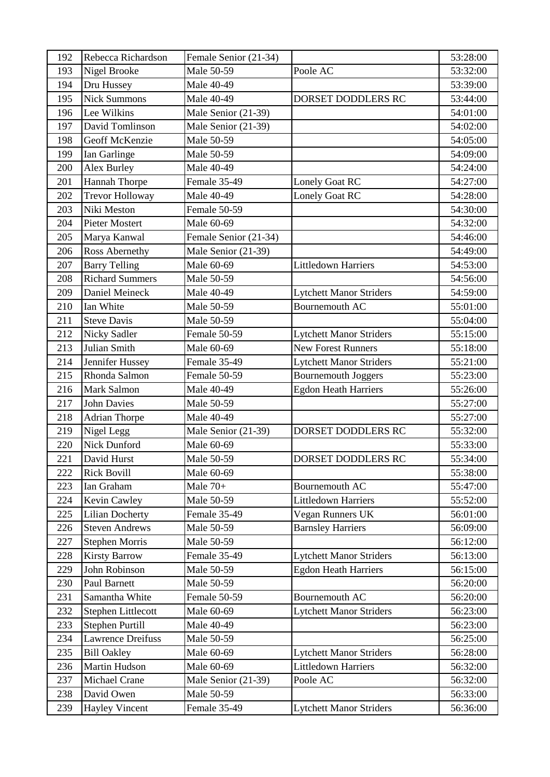| 192 | Rebecca Richardson       | Female Senior (21-34) |                                | 53:28:00 |
|-----|--------------------------|-----------------------|--------------------------------|----------|
| 193 | Nigel Brooke             | Male 50-59            | Poole AC                       | 53:32:00 |
| 194 | Dru Hussey               | Male 40-49            |                                | 53:39:00 |
| 195 | <b>Nick Summons</b>      | Male 40-49            | DORSET DODDLERS RC             | 53:44:00 |
| 196 | Lee Wilkins              | Male Senior (21-39)   |                                | 54:01:00 |
| 197 | David Tomlinson          | Male Senior (21-39)   |                                | 54:02:00 |
| 198 | Geoff McKenzie           | Male 50-59            |                                | 54:05:00 |
| 199 | Ian Garlinge             | Male 50-59            |                                | 54:09:00 |
| 200 | Alex Burley              | Male 40-49            |                                | 54:24:00 |
| 201 | <b>Hannah Thorpe</b>     | Female 35-49          | Lonely Goat RC                 | 54:27:00 |
| 202 | <b>Trevor Holloway</b>   | Male 40-49            | Lonely Goat RC                 | 54:28:00 |
| 203 | Niki Meston              | Female 50-59          |                                | 54:30:00 |
| 204 | Pieter Mostert           | Male 60-69            |                                | 54:32:00 |
| 205 | Marya Kanwal             | Female Senior (21-34) |                                | 54:46:00 |
| 206 | Ross Abernethy           | Male Senior (21-39)   |                                | 54:49:00 |
| 207 | <b>Barry Telling</b>     | Male 60-69            | <b>Littledown Harriers</b>     | 54:53:00 |
| 208 | <b>Richard Summers</b>   | Male 50-59            |                                | 54:56:00 |
| 209 | Daniel Meineck           | Male 40-49            | <b>Lytchett Manor Striders</b> | 54:59:00 |
| 210 | Ian White                | Male 50-59            | Bournemouth AC                 | 55:01:00 |
| 211 | <b>Steve Davis</b>       | Male 50-59            |                                | 55:04:00 |
| 212 | Nicky Sadler             | Female 50-59          | <b>Lytchett Manor Striders</b> | 55:15:00 |
| 213 | Julian Smith             | Male 60-69            | <b>New Forest Runners</b>      | 55:18:00 |
| 214 | Jennifer Hussey          | Female 35-49          | <b>Lytchett Manor Striders</b> | 55:21:00 |
| 215 | Rhonda Salmon            | Female 50-59          | <b>Bournemouth Joggers</b>     | 55:23:00 |
| 216 | Mark Salmon              | Male 40-49            | <b>Egdon Heath Harriers</b>    | 55:26:00 |
| 217 | <b>John Davies</b>       | Male 50-59            |                                | 55:27:00 |
| 218 | <b>Adrian Thorpe</b>     | Male 40-49            |                                | 55:27:00 |
| 219 | Nigel Legg               | Male Senior (21-39)   | DORSET DODDLERS RC             | 55:32:00 |
| 220 | Nick Dunford             | Male 60-69            |                                | 55:33:00 |
| 221 | David Hurst              | Male 50-59            | DORSET DODDLERS RC             | 55:34:00 |
| 222 | <b>Rick Bovill</b>       | Male 60-69            |                                | 55:38:00 |
| 223 | Ian Graham               | Male $70+$            | Bournemouth AC                 | 55:47:00 |
| 224 | Kevin Cawley             | Male 50-59            | <b>Littledown Harriers</b>     | 55:52:00 |
| 225 | <b>Lilian Docherty</b>   | Female 35-49          | Vegan Runners UK               | 56:01:00 |
| 226 | <b>Steven Andrews</b>    | Male 50-59            | <b>Barnsley Harriers</b>       | 56:09:00 |
| 227 | <b>Stephen Morris</b>    | Male 50-59            |                                | 56:12:00 |
| 228 | <b>Kirsty Barrow</b>     | Female 35-49          | <b>Lytchett Manor Striders</b> | 56:13:00 |
| 229 | John Robinson            | Male 50-59            | <b>Egdon Heath Harriers</b>    | 56:15:00 |
| 230 | Paul Barnett             | Male 50-59            |                                | 56:20:00 |
| 231 | Samantha White           | Female 50-59          | Bournemouth AC                 | 56:20:00 |
| 232 | Stephen Littlecott       | Male 60-69            | <b>Lytchett Manor Striders</b> | 56:23:00 |
| 233 | Stephen Purtill          | Male 40-49            |                                | 56:23:00 |
| 234 | <b>Lawrence Dreifuss</b> | Male 50-59            |                                | 56:25:00 |
| 235 | <b>Bill Oakley</b>       | Male 60-69            | <b>Lytchett Manor Striders</b> | 56:28:00 |
| 236 | Martin Hudson            | Male 60-69            | <b>Littledown Harriers</b>     | 56:32:00 |
| 237 | Michael Crane            | Male Senior (21-39)   | Poole AC                       | 56:32:00 |
| 238 | David Owen               | Male 50-59            |                                | 56:33:00 |
| 239 | <b>Hayley Vincent</b>    | Female 35-49          | <b>Lytchett Manor Striders</b> | 56:36:00 |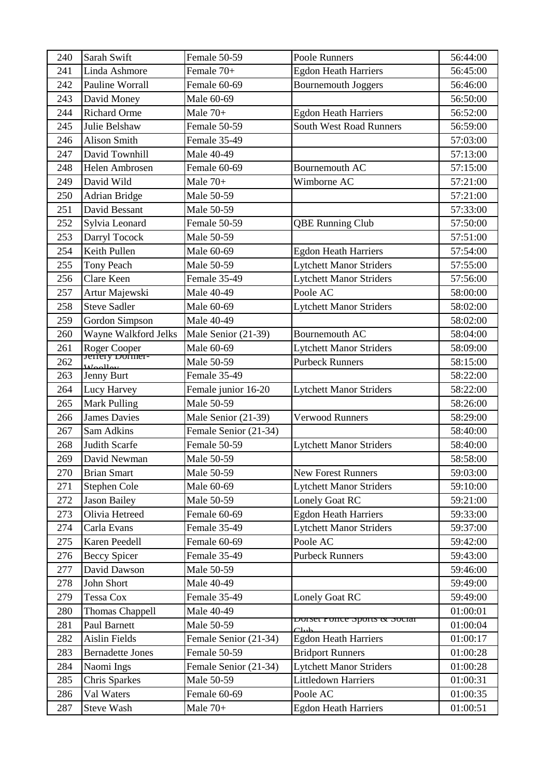| 240 | Sarah Swift                    | Female 50-59          | Poole Runners                  | 56:44:00 |
|-----|--------------------------------|-----------------------|--------------------------------|----------|
| 241 | Linda Ashmore                  | Female 70+            | <b>Egdon Heath Harriers</b>    | 56:45:00 |
| 242 | Pauline Worrall                | Female 60-69          | <b>Bournemouth Joggers</b>     | 56:46:00 |
| 243 | David Money                    | Male 60-69            |                                | 56:50:00 |
| 244 | <b>Richard Orme</b>            | Male $70+$            | <b>Egdon Heath Harriers</b>    | 56:52:00 |
| 245 | Julie Belshaw                  | Female 50-59          | <b>South West Road Runners</b> | 56:59:00 |
| 246 | <b>Alison Smith</b>            | Female 35-49          |                                | 57:03:00 |
| 247 | David Townhill                 | Male 40-49            |                                | 57:13:00 |
| 248 | Helen Ambrosen                 | Female 60-69          | <b>Bournemouth AC</b>          | 57:15:00 |
| 249 | David Wild                     | Male $70+$            | Wimborne AC                    | 57:21:00 |
| 250 | <b>Adrian Bridge</b>           | Male 50-59            |                                | 57:21:00 |
| 251 | David Bessant                  | Male 50-59            |                                | 57:33:00 |
| 252 | Sylvia Leonard                 | Female 50-59          | <b>QBE Running Club</b>        | 57:50:00 |
| 253 | Darryl Tocock                  | Male 50-59            |                                | 57:51:00 |
| 254 | Keith Pullen                   | Male 60-69            | <b>Egdon Heath Harriers</b>    | 57:54:00 |
| 255 | Tony Peach                     | Male 50-59            | <b>Lytchett Manor Striders</b> | 57:55:00 |
| 256 | Clare Keen                     | Female 35-49          | <b>Lytchett Manor Striders</b> | 57:56:00 |
| 257 | Artur Majewski                 | Male 40-49            | Poole AC                       | 58:00:00 |
| 258 | <b>Steve Sadler</b>            | Male 60-69            | <b>Lytchett Manor Striders</b> | 58:02:00 |
| 259 | Gordon Simpson                 | Male 40-49            |                                | 58:02:00 |
| 260 | Wayne Walkford Jelks           | Male Senior (21-39)   | <b>Bournemouth AC</b>          | 58:04:00 |
| 261 | Roger Cooper<br>Jenery Donner- | Male 60-69            | <b>Lytchett Manor Striders</b> | 58:09:00 |
| 262 | $W_{\alpha\alpha}$ llav        | Male 50-59            | <b>Purbeck Runners</b>         | 58:15:00 |
| 263 | Jenny Burt                     | Female 35-49          |                                | 58:22:00 |
| 264 | Lucy Harvey                    | Female junior 16-20   | <b>Lytchett Manor Striders</b> | 58:22:00 |
| 265 | Mark Pulling                   | Male 50-59            |                                | 58:26:00 |
| 266 | <b>James Davies</b>            | Male Senior (21-39)   | <b>Verwood Runners</b>         | 58:29:00 |
| 267 | Sam Adkins                     | Female Senior (21-34) |                                | 58:40:00 |
| 268 | Judith Scarfe                  | Female 50-59          | <b>Lytchett Manor Striders</b> | 58:40:00 |
| 269 | David Newman                   | Male 50-59            |                                | 58:58:00 |
| 270 | <b>Brian Smart</b>             | Male 50-59            | <b>New Forest Runners</b>      | 59:03:00 |
| 271 | Stephen Cole                   | Male 60-69            | <b>Lytchett Manor Striders</b> | 59:10:00 |
| 272 | <b>Jason Bailey</b>            | Male 50-59            | Lonely Goat RC                 | 59:21:00 |
| 273 | Olivia Hetreed                 | Female 60-69          | <b>Egdon Heath Harriers</b>    | 59:33:00 |
| 274 | Carla Evans                    | Female 35-49          | <b>Lytchett Manor Striders</b> | 59:37:00 |
| 275 | Karen Peedell                  | Female 60-69          | Poole AC                       | 59:42:00 |
| 276 | <b>Beccy Spicer</b>            | Female 35-49          | <b>Purbeck Runners</b>         | 59:43:00 |
| 277 | David Dawson                   | Male 50-59            |                                | 59:46:00 |
| 278 | John Short                     | Male 40-49            |                                | 59:49:00 |
| 279 | Tessa Cox                      | Female 35-49          | <b>Lonely Goat RC</b>          | 59:49:00 |
| 280 | Thomas Chappell                | Male 40-49            |                                | 01:00:01 |
| 281 | Paul Barnett                   | Male 50-59            | DOISEL PUILLE SPOLIS & SUCIAL  | 01:00:04 |
| 282 | Aislin Fields                  | Female Senior (21-34) | <b>Egdon Heath Harriers</b>    | 01:00:17 |
| 283 | <b>Bernadette Jones</b>        | Female 50-59          | <b>Bridport Runners</b>        | 01:00:28 |
| 284 | Naomi Ings                     | Female Senior (21-34) | <b>Lytchett Manor Striders</b> | 01:00:28 |
| 285 | Chris Sparkes                  | Male 50-59            | <b>Littledown Harriers</b>     | 01:00:31 |
| 286 | Val Waters                     | Female 60-69          | Poole AC                       | 01:00:35 |
| 287 | Steve Wash                     | Male 70+              | <b>Egdon Heath Harriers</b>    | 01:00:51 |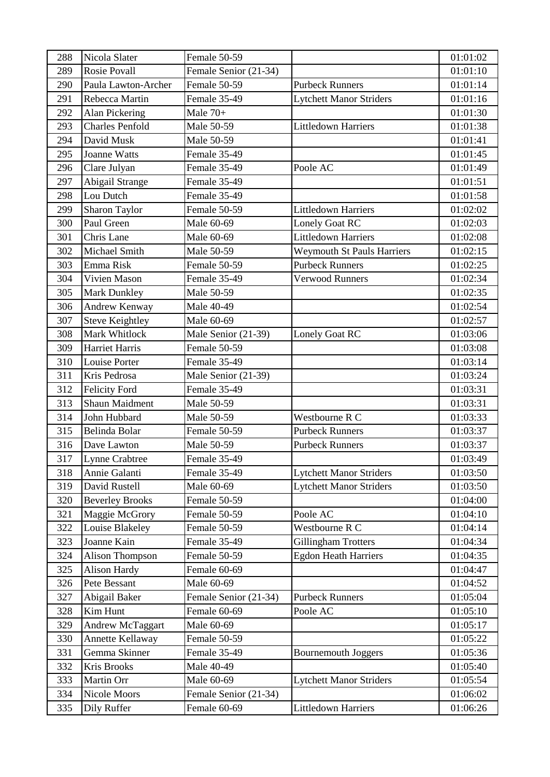| 288 | Nicola Slater          | Female 50-59          |                                   | 01:01:02 |
|-----|------------------------|-----------------------|-----------------------------------|----------|
| 289 | <b>Rosie Povall</b>    | Female Senior (21-34) |                                   | 01:01:10 |
| 290 | Paula Lawton-Archer    | Female 50-59          | <b>Purbeck Runners</b>            | 01:01:14 |
| 291 | Rebecca Martin         | Female 35-49          | <b>Lytchett Manor Striders</b>    | 01:01:16 |
| 292 | Alan Pickering         | Male $70+$            |                                   | 01:01:30 |
| 293 | <b>Charles Penfold</b> | Male 50-59            | <b>Littledown Harriers</b>        | 01:01:38 |
| 294 | David Musk             | Male 50-59            |                                   | 01:01:41 |
| 295 | <b>Joanne Watts</b>    | Female 35-49          |                                   | 01:01:45 |
| 296 | Clare Julyan           | Female 35-49          | Poole AC                          | 01:01:49 |
| 297 | Abigail Strange        | Female 35-49          |                                   | 01:01:51 |
| 298 | Lou Dutch              | Female 35-49          |                                   | 01:01:58 |
| 299 | Sharon Taylor          | Female 50-59          | <b>Littledown Harriers</b>        | 01:02:02 |
| 300 | Paul Green             | Male 60-69            | Lonely Goat RC                    | 01:02:03 |
| 301 | Chris Lane             | Male 60-69            | <b>Littledown Harriers</b>        | 01:02:08 |
| 302 | Michael Smith          | Male 50-59            | <b>Weymouth St Pauls Harriers</b> | 01:02:15 |
| 303 | Emma Risk              | Female 50-59          | <b>Purbeck Runners</b>            | 01:02:25 |
| 304 | Vivien Mason           | Female 35-49          | <b>Verwood Runners</b>            | 01:02:34 |
| 305 | Mark Dunkley           | Male 50-59            |                                   | 01:02:35 |
| 306 | Andrew Kenway          | Male 40-49            |                                   | 01:02:54 |
| 307 | <b>Steve Keightley</b> | Male 60-69            |                                   | 01:02:57 |
| 308 | Mark Whitlock          | Male Senior (21-39)   | Lonely Goat RC                    | 01:03:06 |
| 309 | Harriet Harris         | Female 50-59          |                                   | 01:03:08 |
| 310 | Louise Porter          | Female 35-49          |                                   | 01:03:14 |
| 311 | Kris Pedrosa           | Male Senior (21-39)   |                                   | 01:03:24 |
| 312 | <b>Felicity Ford</b>   | Female 35-49          |                                   | 01:03:31 |
| 313 | <b>Shaun Maidment</b>  | Male 50-59            |                                   | 01:03:31 |
| 314 | John Hubbard           | Male 50-59            | Westbourne R C                    | 01:03:33 |
| 315 | Belinda Bolar          | Female 50-59          | <b>Purbeck Runners</b>            | 01:03:37 |
| 316 | Dave Lawton            | Male 50-59            | <b>Purbeck Runners</b>            | 01:03:37 |
| 317 | <b>Lynne Crabtree</b>  | Female 35-49          |                                   | 01:03:49 |
| 318 | Annie Galanti          | Female 35-49          | <b>Lytchett Manor Striders</b>    | 01:03:50 |
| 319 | David Rustell          | Male 60-69            | <b>Lytchett Manor Striders</b>    | 01:03:50 |
| 320 | <b>Beverley Brooks</b> | Female 50-59          |                                   | 01:04:00 |
| 321 | Maggie McGrory         | Female 50-59          | Poole AC                          | 01:04:10 |
| 322 | Louise Blakeley        | Female 50-59          | Westbourne R C                    | 01:04:14 |
| 323 | Joanne Kain            | Female 35-49          | <b>Gillingham Trotters</b>        | 01:04:34 |
| 324 | <b>Alison Thompson</b> | Female 50-59          | <b>Egdon Heath Harriers</b>       | 01:04:35 |
| 325 | <b>Alison Hardy</b>    | Female 60-69          |                                   | 01:04:47 |
| 326 | Pete Bessant           | Male 60-69            |                                   | 01:04:52 |
| 327 | Abigail Baker          | Female Senior (21-34) | <b>Purbeck Runners</b>            | 01:05:04 |
| 328 | Kim Hunt               | Female 60-69          | Poole AC                          | 01:05:10 |
| 329 | Andrew McTaggart       | Male 60-69            |                                   | 01:05:17 |
| 330 | Annette Kellaway       | Female 50-59          |                                   | 01:05:22 |
| 331 | Gemma Skinner          | Female 35-49          | <b>Bournemouth Joggers</b>        | 01:05:36 |
| 332 | Kris Brooks            | Male 40-49            |                                   | 01:05:40 |
| 333 | Martin Orr             | Male 60-69            | <b>Lytchett Manor Striders</b>    | 01:05:54 |
| 334 | Nicole Moors           | Female Senior (21-34) |                                   | 01:06:02 |
| 335 | Dily Ruffer            | Female 60-69          | <b>Littledown Harriers</b>        | 01:06:26 |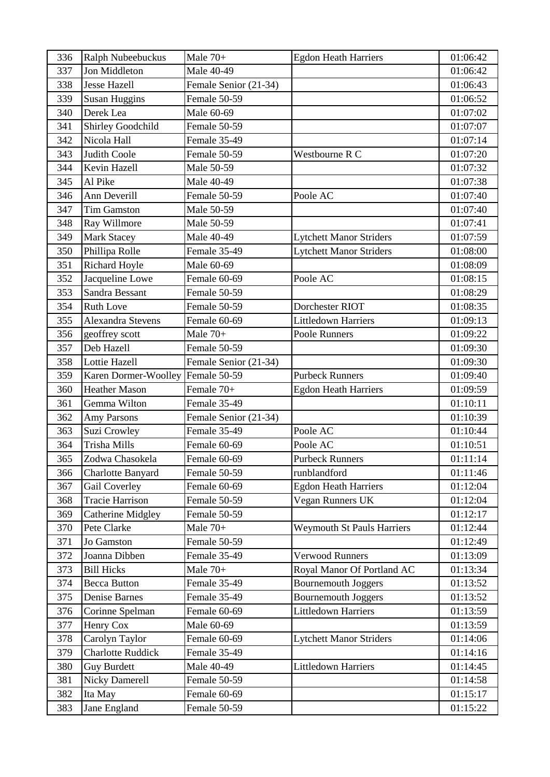| 336 | Ralph Nubeebuckus        | Male $70+$            | <b>Egdon Heath Harriers</b>       | 01:06:42 |
|-----|--------------------------|-----------------------|-----------------------------------|----------|
| 337 | Jon Middleton            | Male 40-49            |                                   | 01:06:42 |
| 338 | <b>Jesse Hazell</b>      | Female Senior (21-34) |                                   | 01:06:43 |
| 339 | <b>Susan Huggins</b>     | Female 50-59          |                                   | 01:06:52 |
| 340 | Derek Lea                | Male 60-69            |                                   | 01:07:02 |
| 341 | <b>Shirley Goodchild</b> | Female 50-59          |                                   | 01:07:07 |
| 342 | Nicola Hall              | Female 35-49          |                                   | 01:07:14 |
| 343 | Judith Coole             | Female 50-59          | Westbourne R C                    | 01:07:20 |
| 344 | Kevin Hazell             | Male 50-59            |                                   | 01:07:32 |
| 345 | Al Pike                  | Male 40-49            |                                   | 01:07:38 |
| 346 | Ann Deverill             | Female 50-59          | Poole AC                          | 01:07:40 |
| 347 | <b>Tim Gamston</b>       | Male 50-59            |                                   | 01:07:40 |
| 348 | Ray Willmore             | Male 50-59            |                                   | 01:07:41 |
| 349 | <b>Mark Stacey</b>       | Male 40-49            | <b>Lytchett Manor Striders</b>    | 01:07:59 |
| 350 | Phillipa Rolle           | Female 35-49          | <b>Lytchett Manor Striders</b>    | 01:08:00 |
| 351 | Richard Hoyle            | Male 60-69            |                                   | 01:08:09 |
| 352 | Jacqueline Lowe          | Female 60-69          | Poole AC                          | 01:08:15 |
| 353 | Sandra Bessant           | Female 50-59          |                                   | 01:08:29 |
| 354 | <b>Ruth Love</b>         | Female 50-59          | Dorchester RIOT                   | 01:08:35 |
| 355 | Alexandra Stevens        | Female 60-69          | <b>Littledown Harriers</b>        | 01:09:13 |
| 356 | geoffrey scott           | Male $70+$            | Poole Runners                     | 01:09:22 |
| 357 | Deb Hazell               | Female 50-59          |                                   | 01:09:30 |
| 358 | Lottie Hazell            | Female Senior (21-34) |                                   | 01:09:30 |
| 359 | Karen Dormer-Woolley     | Female 50-59          | <b>Purbeck Runners</b>            | 01:09:40 |
| 360 | <b>Heather Mason</b>     | Female 70+            | <b>Egdon Heath Harriers</b>       | 01:09:59 |
| 361 | Gemma Wilton             | Female 35-49          |                                   | 01:10:11 |
| 362 | <b>Amy Parsons</b>       | Female Senior (21-34) |                                   | 01:10:39 |
| 363 | Suzi Crowley             | Female 35-49          | Poole AC                          | 01:10:44 |
| 364 | Trisha Mills             | Female 60-69          | Poole AC                          | 01:10:51 |
| 365 | Zodwa Chasokela          | Female 60-69          | <b>Purbeck Runners</b>            | 01:11:14 |
| 366 | Charlotte Banyard        | Female 50-59          | runblandford                      | 01:11:46 |
| 367 | Gail Coverley            | Female 60-69          | <b>Egdon Heath Harriers</b>       | 01:12:04 |
| 368 | <b>Tracie Harrison</b>   | Female 50-59          | Vegan Runners UK                  | 01:12:04 |
| 369 | <b>Catherine Midgley</b> | Female 50-59          |                                   | 01:12:17 |
| 370 | Pete Clarke              | Male $70+$            | <b>Weymouth St Pauls Harriers</b> | 01:12:44 |
| 371 | Jo Gamston               | Female 50-59          |                                   | 01:12:49 |
| 372 | Joanna Dibben            | Female 35-49          | <b>Verwood Runners</b>            | 01:13:09 |
| 373 | <b>Bill Hicks</b>        | Male $70+$            | Royal Manor Of Portland AC        | 01:13:34 |
| 374 | <b>Becca Button</b>      | Female 35-49          | <b>Bournemouth Joggers</b>        | 01:13:52 |
| 375 | Denise Barnes            | Female 35-49          | <b>Bournemouth Joggers</b>        | 01:13:52 |
| 376 | Corinne Spelman          | Female 60-69          | <b>Littledown Harriers</b>        | 01:13:59 |
| 377 | Henry Cox                | Male 60-69            |                                   | 01:13:59 |
| 378 | Carolyn Taylor           | Female 60-69          | <b>Lytchett Manor Striders</b>    | 01:14:06 |
| 379 | <b>Charlotte Ruddick</b> | Female 35-49          |                                   | 01:14:16 |
| 380 | <b>Guy Burdett</b>       | Male 40-49            | <b>Littledown Harriers</b>        | 01:14:45 |
| 381 | <b>Nicky Damerell</b>    | Female 50-59          |                                   | 01:14:58 |
| 382 | Ita May                  | Female 60-69          |                                   | 01:15:17 |
| 383 | Jane England             | Female 50-59          |                                   | 01:15:22 |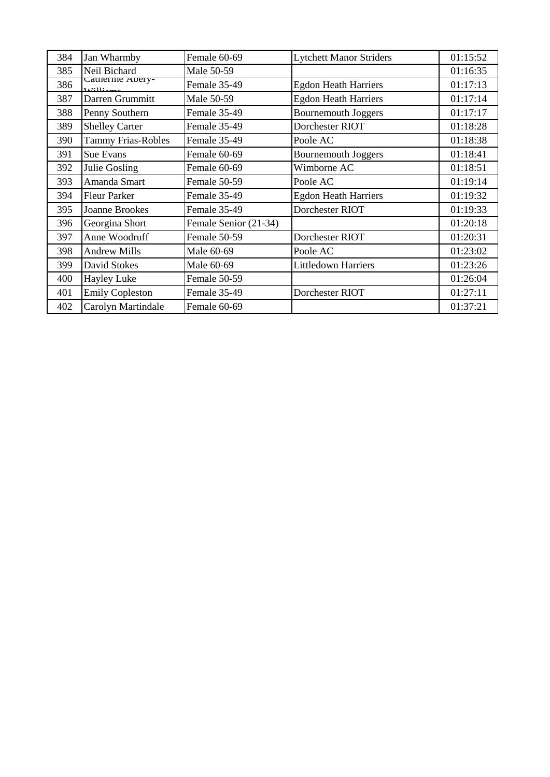| 384 | Jan Wharmby                                        | Female 60-69          | <b>Lytchett Manor Striders</b> | 01:15:52 |
|-----|----------------------------------------------------|-----------------------|--------------------------------|----------|
| 385 | Neil Bichard                                       | Male 50-59            |                                | 01:16:35 |
| 386 | Catheline Adely-<br>W <sub>i</sub> 11 <sub>i</sub> | Female 35-49          | <b>Egdon Heath Harriers</b>    | 01:17:13 |
| 387 | Darren Grummitt                                    | Male 50-59            | <b>Egdon Heath Harriers</b>    | 01:17:14 |
| 388 | Penny Southern                                     | Female 35-49          | <b>Bournemouth Joggers</b>     | 01:17:17 |
| 389 | <b>Shelley Carter</b>                              | Female 35-49          | Dorchester RIOT                | 01:18:28 |
| 390 | <b>Tammy Frias-Robles</b>                          | Female 35-49          | Poole AC                       | 01:18:38 |
| 391 | Sue Evans                                          | Female 60-69          | <b>Bournemouth Joggers</b>     | 01:18:41 |
| 392 | Julie Gosling                                      | Female 60-69          | Wimborne AC                    | 01:18:51 |
| 393 | Amanda Smart                                       | Female 50-59          | Poole AC                       | 01:19:14 |
| 394 | <b>Fleur Parker</b>                                | Female 35-49          | <b>Egdon Heath Harriers</b>    | 01:19:32 |
| 395 | Joanne Brookes                                     | Female 35-49          | Dorchester RIOT                | 01:19:33 |
| 396 | Georgina Short                                     | Female Senior (21-34) |                                | 01:20:18 |
| 397 | Anne Woodruff                                      | Female 50-59          | Dorchester RIOT                | 01:20:31 |
| 398 | <b>Andrew Mills</b>                                | Male 60-69            | Poole AC                       | 01:23:02 |
| 399 | David Stokes                                       | Male 60-69            | <b>Littledown Harriers</b>     | 01:23:26 |
| 400 | <b>Hayley Luke</b>                                 | Female 50-59          |                                | 01:26:04 |
| 401 | <b>Emily Copleston</b>                             | Female 35-49          | Dorchester RIOT                | 01:27:11 |
| 402 | Carolyn Martindale                                 | Female 60-69          |                                | 01:37:21 |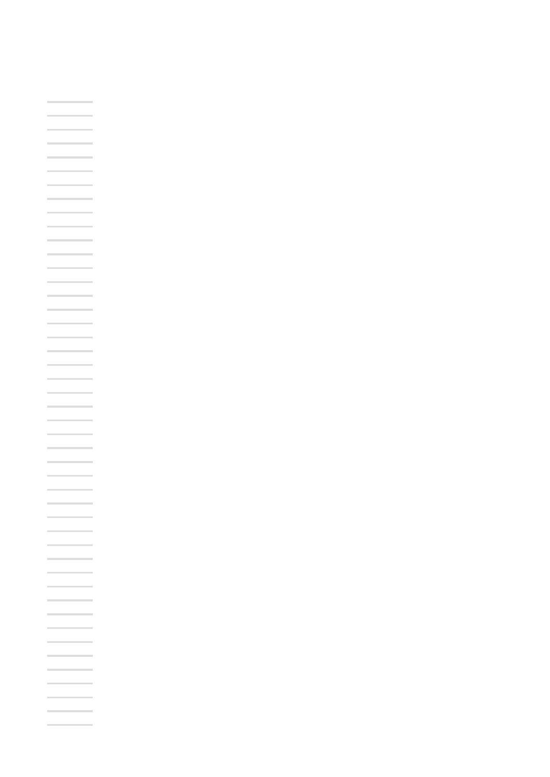**Contract Contract Contract**  $\overline{\phantom{a}}$ **Contract Contract Contract Contract Contract**  $\overline{\phantom{a}}$ **Contract Contract Contract Contract Contract**  $\overline{\phantom{a}}$ **Contract Contract Contract Contract**  $\overline{\phantom{a}}$ **Contract Contract**  $\overline{\phantom{a}}$ **Contract Contract Contract Contract Contract**  $\frac{1}{2}$ **Contract Contract**  $\frac{1}{\sqrt{2}}$  $\frac{1}{1-\frac{1}{2}}\left( \frac{1}{2}\right) ^{2}+\frac{1}{2}\left( \frac{1}{2}\right) ^{2}+\frac{1}{2}\left( \frac{1}{2}\right) ^{2}+\frac{1}{2}\left( \frac{1}{2}\right) ^{2}+\frac{1}{2}\left( \frac{1}{2}\right) ^{2}+\frac{1}{2}\left( \frac{1}{2}\right) ^{2}+\frac{1}{2}\left( \frac{1}{2}\right) ^{2}+\frac{1}{2}\left( \frac{1}{2}\right) ^{2}+\frac{1}{2}\left( \frac{1}{2}\right) ^{2}+\frac{1}{2}\left( \frac{1}{2$ **Contract Contract**  $\frac{1}{\sqrt{1-\frac{1}{2}}}\left( \frac{1}{\sqrt{1-\frac{1}{2}}}\right) ^{2}$  $\frac{1}{\sqrt{1-\frac{1}{2}}}\left( \frac{1}{\sqrt{1-\frac{1}{2}}}\right) ^{2}$ **Contract Contract**  $\frac{1}{\sqrt{1-\frac{1}{2}}}\left( \frac{1}{\sqrt{1-\frac{1}{2}}}\right) ^{2}$  $\frac{1}{2} \left( \frac{1}{2} \right) \left( \frac{1}{2} \right) \left( \frac{1}{2} \right) \left( \frac{1}{2} \right) \left( \frac{1}{2} \right) \left( \frac{1}{2} \right) \left( \frac{1}{2} \right) \left( \frac{1}{2} \right) \left( \frac{1}{2} \right) \left( \frac{1}{2} \right) \left( \frac{1}{2} \right) \left( \frac{1}{2} \right) \left( \frac{1}{2} \right) \left( \frac{1}{2} \right) \left( \frac{1}{2} \right) \left( \frac{1}{2} \right) \left( \frac$  $\frac{1}{\sqrt{1-\frac{1}{2}}}\left( \frac{1}{\sqrt{1-\frac{1}{2}}}\right) ^{2}$  $\frac{1}{2} \left( \frac{1}{2} \right) \left( \frac{1}{2} \right) \left( \frac{1}{2} \right) \left( \frac{1}{2} \right) \left( \frac{1}{2} \right) \left( \frac{1}{2} \right) \left( \frac{1}{2} \right) \left( \frac{1}{2} \right) \left( \frac{1}{2} \right) \left( \frac{1}{2} \right) \left( \frac{1}{2} \right) \left( \frac{1}{2} \right) \left( \frac{1}{2} \right) \left( \frac{1}{2} \right) \left( \frac{1}{2} \right) \left( \frac{1}{2} \right) \left( \frac$  $\frac{1}{\sqrt{1-\frac{1}{2}}}\left( \frac{1}{\sqrt{1-\frac{1}{2}}}\right) ^{2}$  $\frac{1}{\sqrt{1-\frac{1}{2}}}\left( \frac{1}{\sqrt{1-\frac{1}{2}}}\right) ^{2}$ **Contract Contract**  $\frac{1}{\sqrt{2}}$